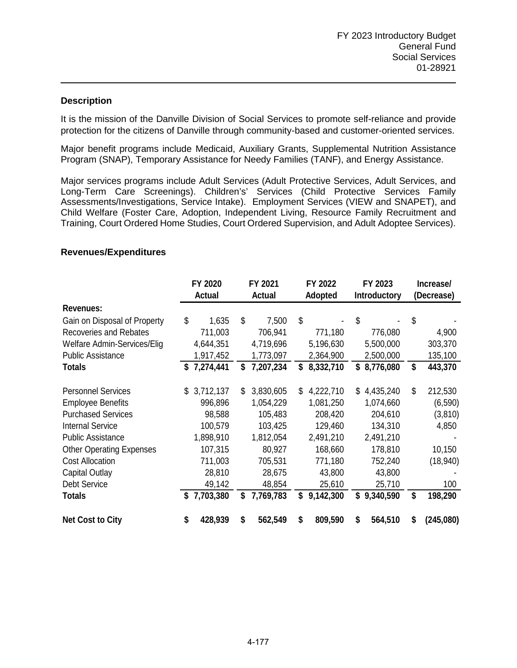## **Description**

It is the mission of the Danville Division of Social Services to promote self-reliance and provide protection for the citizens of Danville through community-based and customer-oriented services.

Major benefit programs include Medicaid, Auxiliary Grants, Supplemental Nutrition Assistance Program (SNAP), Temporary Assistance for Needy Families (TANF), and Energy Assistance.

Major services programs include Adult Services (Adult Protective Services, Adult Services, and Long-Term Care Screenings). Children's' Services (Child Protective Services Family Assessments/Investigations, Service Intake). Employment Services (VIEW and SNAPET), and Child Welfare (Foster Care, Adoption, Independent Living, Resource Family Recruitment and Training, Court Ordered Home Studies, Court Ordered Supervision, and Adult Adoptee Services).

## **Revenues/Expenditures**

|                                 |    | FY 2020<br><b>Actual</b> | FY 2021<br><b>Actual</b> | FY 2022<br><b>Adopted</b> | FY 2023<br><b>Introductory</b> |           | Increase/<br>(Decrease) |           |
|---------------------------------|----|--------------------------|--------------------------|---------------------------|--------------------------------|-----------|-------------------------|-----------|
| Revenues:                       |    |                          |                          |                           |                                |           |                         |           |
| Gain on Disposal of Property    | \$ | 1,635                    | \$<br>7,500              | \$                        | \$                             |           | \$                      |           |
| <b>Recoveries and Rebates</b>   |    | 711,003                  | 706,941                  | 771,180                   |                                | 776,080   |                         | 4,900     |
| Welfare Admin-Services/Elig     |    | 4,644,351                | 4,719,696                | 5,196,630                 |                                | 5,500,000 |                         | 303,370   |
| <b>Public Assistance</b>        |    | 1,917,452                | 1,773,097                | 2,364,900                 |                                | 2,500,000 |                         | 135,100   |
| <b>Totals</b>                   | \$ | 7,274,441                | \$<br>7,207,234          | \$<br>8,332,710           | \$                             | 8,776,080 | \$                      | 443,370   |
| <b>Personnel Services</b>       | \$ | 3,712,137                | \$<br>3,830,605          | \$<br>4,222,710           | S                              | 4,435,240 | \$                      | 212,530   |
| <b>Employee Benefits</b>        |    | 996,896                  | 1,054,229                | 1,081,250                 |                                | 1,074,660 |                         | (6, 590)  |
| <b>Purchased Services</b>       |    | 98,588                   | 105,483                  | 208,420                   |                                | 204,610   |                         | (3,810)   |
| <b>Internal Service</b>         |    | 100,579                  | 103,425                  | 129,460                   |                                | 134,310   |                         | 4,850     |
| <b>Public Assistance</b>        |    | 1,898,910                | 1,812,054                | 2,491,210                 |                                | 2,491,210 |                         |           |
| <b>Other Operating Expenses</b> |    | 107,315                  | 80,927                   | 168,660                   |                                | 178,810   |                         | 10,150    |
| <b>Cost Allocation</b>          |    | 711,003                  | 705,531                  | 771,180                   |                                | 752,240   |                         | (18,940)  |
| <b>Capital Outlay</b>           |    | 28,810                   | 28,675                   | 43,800                    |                                | 43,800    |                         |           |
| Debt Service                    |    | 49,142                   | 48,854                   | 25,610                    |                                | 25,710    |                         | 100       |
| <b>Totals</b>                   | S  | 7,703,380                | \$<br>7,769,783          | \$<br>9,142,300           | \$                             | 9,340,590 | \$                      | 198,290   |
| <b>Net Cost to City</b>         | S  | 428,939                  | \$<br>562,549            | \$<br>809,590             | \$                             | 564,510   | S                       | (245,080) |